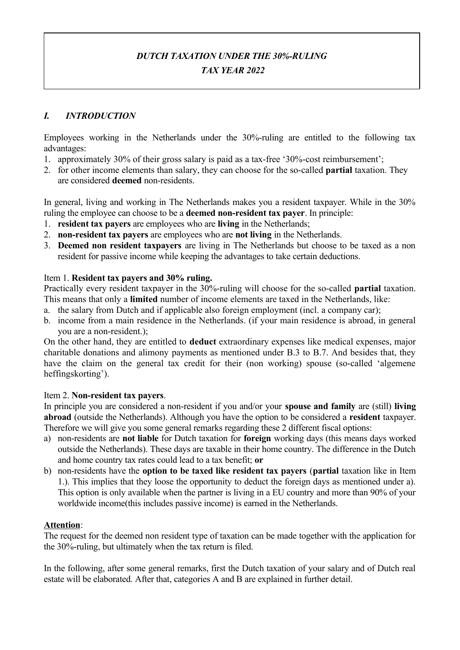# *DUTCH TAXATION UNDER THE 30%-RULING TAX YEAR 2022*

## *I. INTRODUCTION*

Employees working in the Netherlands under the 30%-ruling are entitled to the following tax advantages:

- 1. approximately 30% of their gross salary is paid as a tax-free '30%-cost reimbursement';
- 2. for other income elements than salary, they can choose for the so-called **partial** taxation. They are considered **deemed** non-residents.

In general, living and working in The Netherlands makes you a resident taxpayer. While in the 30% ruling the employee can choose to be a **deemed non-resident tax payer**. In principle:

- 1. **resident tax payers** are employees who are **living** in the Netherlands;
- 2. **non-resident tax payers** are employees who are **not living** in the Netherlands.
- 3. **Deemed non resident taxpayers** are living in The Netherlands but choose to be taxed as a non resident for passive income while keeping the advantages to take certain deductions.

#### Item 1. **Resident tax payers and 30% ruling.**

Practically every resident taxpayer in the 30%-ruling will choose for the so-called **partial** taxation. This means that only a **limited** number of income elements are taxed in the Netherlands, like:

- a. the salary from Dutch and if applicable also foreign employment (incl. a company car);
- b. income from a main residence in the Netherlands. (if your main residence is abroad, in general you are a non-resident.);

On the other hand, they are entitled to **deduct** extraordinary expenses like medical expenses, major charitable donations and alimony payments as mentioned under B.3 to B.7. And besides that, they have the claim on the general tax credit for their (non working) spouse (so-called 'algemene heffingskorting').

#### Item 2. **Non-resident tax payers**.

In principle you are considered a non-resident if you and/or your **spouse and family** are (still) **living abroad** (outside the Netherlands). Although you have the option to be considered a **resident** taxpayer. Therefore we will give you some general remarks regarding these 2 different fiscal options:

- a) non-residents are **not liable** for Dutch taxation for **foreign** working days (this means days worked outside the Netherlands). These days are taxable in their home country. The difference in the Dutch and home country tax rates could lead to a tax benefit; **or**
- b) non-residents have the **option to be taxed like resident tax payers** (**partial** taxation like in Item 1.). This implies that they loose the opportunity to deduct the foreign days as mentioned under a). This option is only available when the partner is living in a EU country and more than 90% of your worldwide income(this includes passive income) is earned in the Netherlands.

#### **Attention**:

The request for the deemed non resident type of taxation can be made together with the application for the 30%-ruling, but ultimately when the tax return is filed.

In the following, after some general remarks, first the Dutch taxation of your salary and of Dutch real estate will be elaborated. After that, categories A and B are explained in further detail.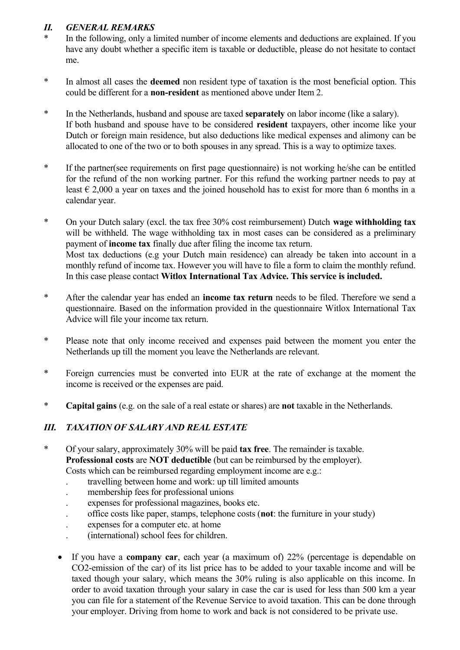## *II. GENERAL REMARKS*

- In the following, only a limited number of income elements and deductions are explained. If you have any doubt whether a specific item is taxable or deductible, please do not hesitate to contact me.
- \* In almost all cases the **deemed** non resident type of taxation is the most beneficial option. This could be different for a **non-resident** as mentioned above under Item 2.
- \* In the Netherlands, husband and spouse are taxed **separately** on labor income (like a salary). If both husband and spouse have to be considered **resident** taxpayers, other income like your Dutch or foreign main residence, but also deductions like medical expenses and alimony can be allocated to one of the two or to both spouses in any spread. This is a way to optimize taxes.
- \* If the partner(see requirements on first page questionnaire) is not working he/she can be entitled for the refund of the non working partner. For this refund the working partner needs to pay at least  $\epsilon$  2,000 a year on taxes and the joined household has to exist for more than 6 months in a calendar year.
- \* On your Dutch salary (excl. the tax free 30% cost reimbursement) Dutch **wage withholding tax** will be withheld. The wage withholding tax in most cases can be considered as a preliminary payment of **income tax** finally due after filing the income tax return. Most tax deductions (e.g your Dutch main residence) can already be taken into account in a monthly refund of income tax. However you will have to file a form to claim the monthly refund. In this case please contact **Witlox International Tax Advice. This service is included.**
- \* After the calendar year has ended an **income tax return** needs to be filed. Therefore we send a questionnaire. Based on the information provided in the questionnaire Witlox International Tax Advice will file your income tax return.
- \* Please note that only income received and expenses paid between the moment you enter the Netherlands up till the moment you leave the Netherlands are relevant.
- \* Foreign currencies must be converted into EUR at the rate of exchange at the moment the income is received or the expenses are paid.
- \* **Capital gains** (e.g. on the sale of a real estate or shares) are **not** taxable in the Netherlands.

## *III. TAXATION OF SALARY AND REAL ESTATE*

- \* Of your salary, approximately 30% will be paid **tax free**. The remainder is taxable. **Professional costs** are **NOT deductible** (but can be reimbursed by the employer). Costs which can be reimbursed regarding employment income are e.g.:
	- . travelling between home and work: up till limited amounts
	- . membership fees for professional unions
	- . expenses for professional magazines, books etc.
	- . office costs like paper, stamps, telephone costs (**not**: the furniture in your study)
	- . expenses for a computer etc. at home
	- . (international) school fees for children.
	- If you have a **company car**, each year (a maximum of) 22% (percentage is dependable on CO2-emission of the car) of its list price has to be added to your taxable income and will be taxed though your salary, which means the 30% ruling is also applicable on this income. In order to avoid taxation through your salary in case the car is used for less than 500 km a year you can file for a statement of the Revenue Service to avoid taxation. This can be done through your employer. Driving from home to work and back is not considered to be private use.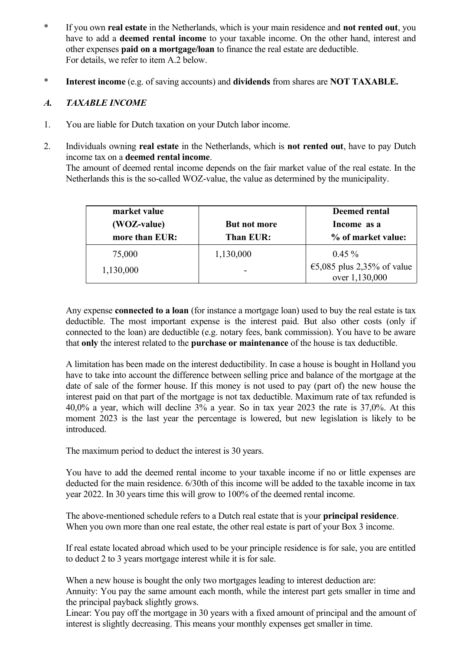- \* If you own **real estate** in the Netherlands, which is your main residence and **not rented out**, you have to add a **deemed rental income** to your taxable income. On the other hand, interest and other expenses **paid on a mortgage/loan** to finance the real estate are deductible. For details, we refer to item A.2 below.
- \* **Interest income** (e.g. of saving accounts) and **dividends** from shares are **NOT TAXABLE.**

#### *A. TAXABLE INCOME*

- 1. You are liable for Dutch taxation on your Dutch labor income.
- 2. Individuals owning **real estate** in the Netherlands, which is **not rented out**, have to pay Dutch income tax on a **deemed rental income**. The amount of deemed rental income depends on the fair market value of the real estate. In the Netherlands this is the so-called WOZ-value, the value as determined by the municipality.

| market value   |              | <b>Deemed rental</b>                 |
|----------------|--------------|--------------------------------------|
| (WOZ-value)    | But not more | Income as a                          |
| more than EUR: | Than EUR:    | % of market value:                   |
| 75,000         | 1,130,000    | $0.45 \%$                            |
| 1,130,000      |              | $\epsilon$ 5,085 plus 2,35% of value |
|                |              | over 1,130,000                       |

Any expense **connected to a loan** (for instance a mortgage loan) used to buy the real estate is tax deductible. The most important expense is the interest paid. But also other costs (only if connected to the loan) are deductible (e.g. notary fees, bank commission). You have to be aware that **only** the interest related to the **purchase or maintenance** of the house is tax deductible.

A limitation has been made on the interest deductibility. In case a house is bought in Holland you have to take into account the difference between selling price and balance of the mortgage at the date of sale of the former house. If this money is not used to pay (part of) the new house the interest paid on that part of the mortgage is not tax deductible. Maximum rate of tax refunded is 40,0% a year, which will decline 3% a year. So in tax year 2023 the rate is 37,0%. At this moment 2023 is the last year the percentage is lowered, but new legislation is likely to be introduced.

The maximum period to deduct the interest is 30 years.

You have to add the deemed rental income to your taxable income if no or little expenses are deducted for the main residence. 6/30th of this income will be added to the taxable income in tax year 2022. In 30 years time this will grow to 100% of the deemed rental income.

The above-mentioned schedule refers to a Dutch real estate that is your **principal residence**. When you own more than one real estate, the other real estate is part of your Box 3 income.

If real estate located abroad which used to be your principle residence is for sale, you are entitled to deduct 2 to 3 years mortgage interest while it is for sale.

When a new house is bought the only two mortgages leading to interest deduction are: Annuity: You pay the same amount each month, while the interest part gets smaller in time and the principal payback slightly grows.

Linear: You pay off the mortgage in 30 years with a fixed amount of principal and the amount of interest is slightly decreasing. This means your monthly expenses get smaller in time.